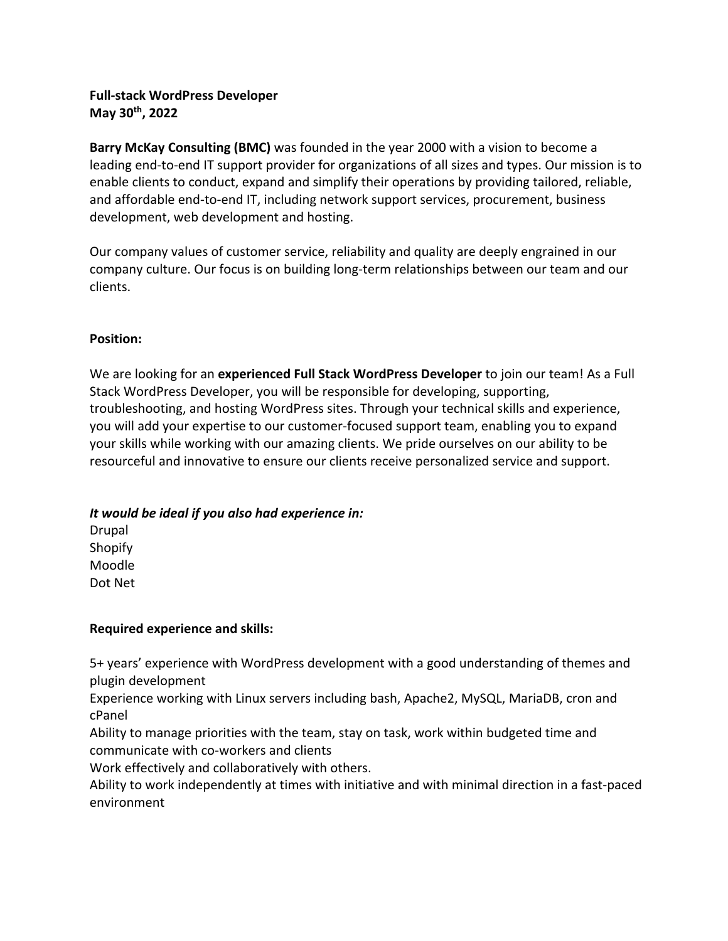## **Full-stack WordPress Developer May 30th, 2022**

**Barry McKay Consulting (BMC)** was founded in the year 2000 with a vision to become a leading end-to-end IT support provider for organizations of all sizes and types. Our mission is to enable clients to conduct, expand and simplify their operations by providing tailored, reliable, and affordable end-to-end IT, including network support services, procurement, business development, web development and hosting.

Our company values of customer service, reliability and quality are deeply engrained in our company culture. Our focus is on building long-term relationships between our team and our clients.

### **Position:**

We are looking for an **experienced Full Stack WordPress Developer** to join our team! As a Full Stack WordPress Developer, you will be responsible for developing, supporting, troubleshooting, and hosting WordPress sites. Through your technical skills and experience, you will add your expertise to our customer-focused support team, enabling you to expand your skills while working with our amazing clients. We pride ourselves on our ability to be resourceful and innovative to ensure our clients receive personalized service and support.

### *It would be ideal if you also had experience in:*

Drupal Shopify Moodle Dot Net

### **Required experience and skills:**

5+ years' experience with WordPress development with a good understanding of themes and plugin development

Experience working with Linux servers including bash, Apache2, MySQL, MariaDB, cron and cPanel

Ability to manage priorities with the team, stay on task, work within budgeted time and communicate with co-workers and clients

Work effectively and collaboratively with others.

Ability to work independently at times with initiative and with minimal direction in a fast-paced environment